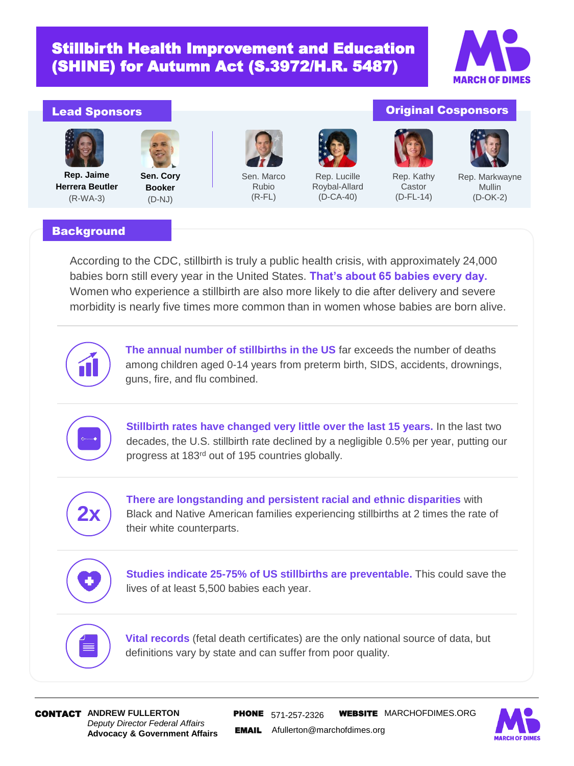# Stillbirth Health Improvement and Education (SHINE) for Autumn Act (S.3972/H.R. 5487)



### Lead Sponsors



**Rep. Jaime Herrera Beutler** (R-WA-3)



**Sen. Cory Booker** (D-NJ)



Sen. Marco Rubio (R-FL)



Rep. Lucille Roybal-Allard (D-CA-40)



Original Cosponsors

Rep. Kathy Castor (D-FL-14)



Mullin (D-OK-2)

### **Background**

According to the CDC, stillbirth is truly a public health crisis, with approximately 24,000 babies born still every year in the United States. **That's about 65 babies every day.**  Women who experience a stillbirth are also more likely to die after delivery and severe morbidity is nearly five times more common than in women whose babies are born alive.



**The annual number of stillbirths in the US** far exceeds the number of deaths among children aged 0-14 years from preterm birth, SIDS, accidents, drownings, guns, fire, and flu combined.



**Stillbirth rates have changed very little over the last 15 years.** In the last two decades, the U.S. stillbirth rate declined by a negligible 0.5% per year, putting our progress at 183rd out of 195 countries globally.



**There are longstanding and persistent racial and ethnic disparities** with Black and Native American families experiencing stillbirths at 2 times the rate of their white counterparts.



**Studies indicate 25-75% of US stillbirths are preventable.** This could save the lives of at least 5,500 babies each year.



**Vital records** (fetal death certificates) are the only national source of data, but definitions vary by state and can suffer from poor quality.

*Deputy Director Federal Affairs* **Advocacy & Government Affairs**